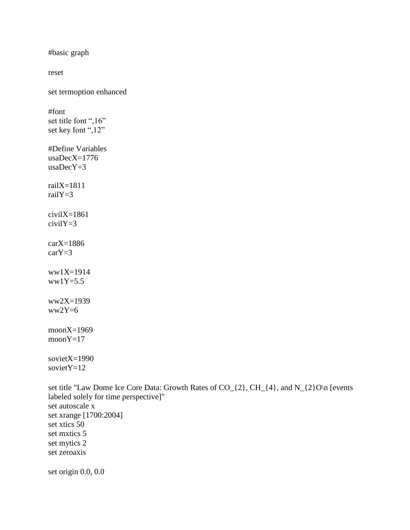```
#basic graph
reset
set termoption enhanced
#font
set title font ",16"
set key font ",12"
#Define Variables
usaDecX=1776
usaDecY=3railX=1811railY=3
civialX=1861civilY=3
carX=1886
carY = 3ww1X=1914ww1Y=5.5ww2X=1939
ww2Y=6moonX=1969
moonY=17
sovietX=1990
sovietY=12
set title "Law Dome Ice Core Data: Growth Rates of CO<sub>_{2}</sub>, CH_{4}, and N_{2}O\n [events
```

```
labeled solely for time perspective]"
set autoscale x
set xrange [1700:2004]
set xtics 50
set mxtics 5
set mytics 2
set zeroaxis
set origin 0.0, 0.0
```